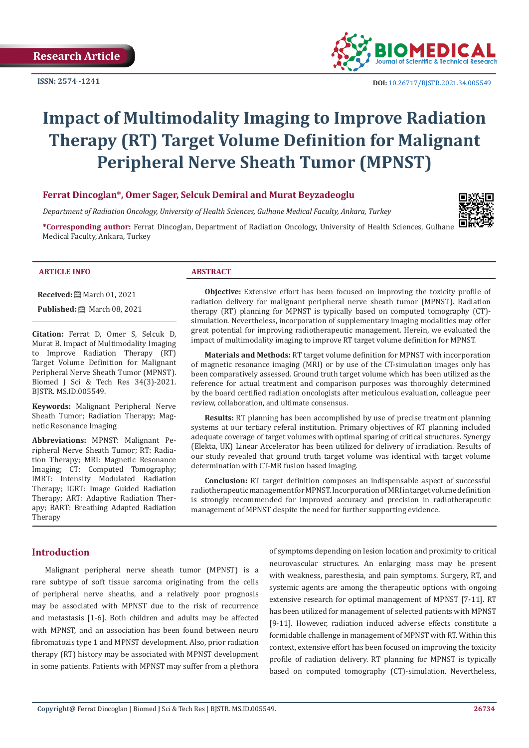**ISSN: 2574 -1241**



# **Impact of Multimodality Imaging to Improve Radiation Therapy (RT) Target Volume Definition for Malignant Peripheral Nerve Sheath Tumor (MPNST)**

# **Ferrat Dincoglan\*, Omer Sager, Selcuk Demiral and Murat Beyzadeoglu**

*Department of Radiation Oncology, University of Health Sciences, Gulhane Medical Faculty, Ankara, Turkey*

**\*Corresponding author:** Ferrat Dincoglan, Department of Radiation Oncology, University of Health Sciences, Gulhane Medical Faculty, Ankara, Turkey



#### **ARTICLE INFO ABSTRACT**

**Received:** March 01, 2021

**Published:** 圖 March 08, 2021

**Citation:** Ferrat D, Omer S, Selcuk D, Murat B. Impact of Multimodality Imaging to Improve Radiation Therapy (RT) Target Volume Definition for Malignant Peripheral Nerve Sheath Tumor (MPNST). Biomed J Sci & Tech Res 34(3)-2021. BJSTR. MS.ID.005549.

**Keywords:** Malignant Peripheral Nerve Sheath Tumor; Radiation Therapy; Magnetic Resonance Imaging

**Abbreviations:** MPNST: Malignant Peripheral Nerve Sheath Tumor; RT: Radiation Therapy; MRI: Magnetic Resonance Imaging; CT: Computed Tomography; IMRT: Intensity Modulated Radiation Therapy; IGRT: Image Guided Radiation Therapy; ART: Adaptive Radiation Therapy; BART: Breathing Adapted Radiation Therapy

**Objective:** Extensive effort has been focused on improving the toxicity profile of radiation delivery for malignant peripheral nerve sheath tumor (MPNST). Radiation therapy (RT) planning for MPNST is typically based on computed tomography (CT) simulation. Nevertheless, incorporation of supplementary imaging modalities may offer great potential for improving radiotherapeutic management. Herein, we evaluated the impact of multimodality imaging to improve RT target volume definition for MPNST.

**Materials and Methods:** RT target volume definition for MPNST with incorporation of magnetic resonance imaging (MRI) or by use of the CT-simulation images only has been comparatively assessed. Ground truth target volume which has been utilized as the reference for actual treatment and comparison purposes was thoroughly determined by the board certified radiation oncologists after meticulous evaluation, colleague peer review, collaboration, and ultimate consensus.

**Results:** RT planning has been accomplished by use of precise treatment planning systems at our tertiary referal institution. Primary objectives of RT planning included adequate coverage of target volumes with optimal sparing of critical structures. Synergy (Elekta, UK) Linear Accelerator has been utilized for delivery of irradiation. Results of our study revealed that ground truth target volume was identical with target volume determination with CT-MR fusion based imaging.

**Conclusion:** RT target definition composes an indispensable aspect of successful radiotherapeutic management for MPNST. Incorporation of MRI in target volume definition is strongly recommended for improved accuracy and precision in radiotherapeutic management of MPNST despite the need for further supporting evidence.

# **Introduction**

Malignant peripheral nerve sheath tumor (MPNST) is a rare subtype of soft tissue sarcoma originating from the cells of peripheral nerve sheaths, and a relatively poor prognosis may be associated with MPNST due to the risk of recurrence and metastasis [1-6]. Both children and adults may be affected with MPNST, and an association has been found between neuro fibromatozis type 1 and MPNST development. Also, prior radiation therapy (RT) history may be associated with MPNST development in some patients. Patients with MPNST may suffer from a plethora

of symptoms depending on lesion location and proximity to critical neurovascular structures. An enlarging mass may be present with weakness, paresthesia, and pain symptoms. Surgery, RT, and systemic agents are among the therapeutic options with ongoing extensive research for optimal management of MPNST [7-11]. RT has been utilized for management of selected patients with MPNST [9-11]. However, radiation induced adverse effects constitute a formidable challenge in management of MPNST with RT. Within this context, extensive effort has been focused on improving the toxicity profile of radiation delivery. RT planning for MPNST is typically based on computed tomography (CT)-simulation. Nevertheless,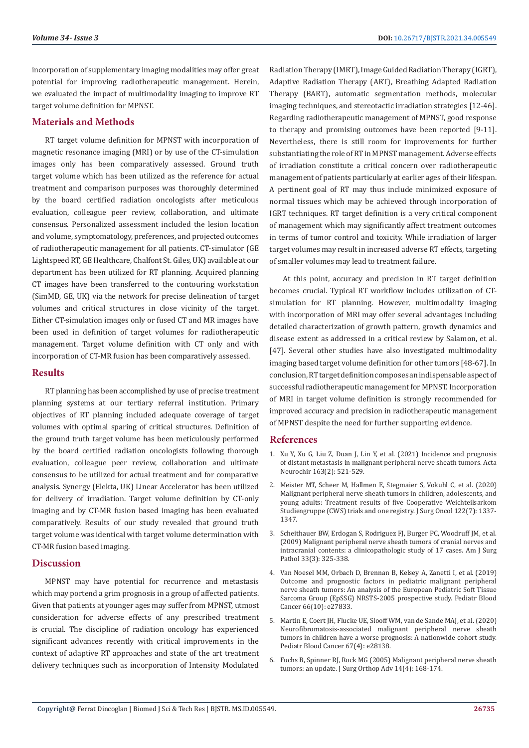incorporation of supplementary imaging modalities may offer great potential for improving radiotherapeutic management. Herein, we evaluated the impact of multimodality imaging to improve RT target volume definition for MPNST.

# **Materials and Methods**

RT target volume definition for MPNST with incorporation of magnetic resonance imaging (MRI) or by use of the CT-simulation images only has been comparatively assessed. Ground truth target volume which has been utilized as the reference for actual treatment and comparison purposes was thoroughly determined by the board certified radiation oncologists after meticulous evaluation, colleague peer review, collaboration, and ultimate consensus. Personalized assessment included the lesion location and volume, symptomatology, preferences, and projected outcomes of radiotherapeutic management for all patients. CT-simulator (GE Lightspeed RT, GE Healthcare, Chalfont St. Giles, UK) available at our department has been utilized for RT planning. Acquired planning CT images have been transferred to the contouring workstation (SimMD, GE, UK) via the network for precise delineation of target volumes and critical structures in close vicinity of the target. Either CT-simulation images only or fused CT and MR images have been used in definition of target volumes for radiotherapeutic management. Target volume definition with CT only and with incorporation of CT-MR fusion has been comparatively assessed.

### **Results**

RT planning has been accomplished by use of precise treatment planning systems at our tertiary referral institution. Primary objectives of RT planning included adequate coverage of target volumes with optimal sparing of critical structures. Definition of the ground truth target volume has been meticulously performed by the board certified radiation oncologists following thorough evaluation, colleague peer review, collaboration and ultimate consensus to be utilized for actual treatment and for comparative analysis. Synergy (Elekta, UK) Linear Accelerator has been utilized for delivery of irradiation. Target volume definition by CT-only imaging and by CT-MR fusion based imaging has been evaluated comparatively. Results of our study revealed that ground truth target volume was identical with target volume determination with CT-MR fusion based imaging.

# **Discussion**

MPNST may have potential for recurrence and metastasis which may portend a grim prognosis in a group of affected patients. Given that patients at younger ages may suffer from MPNST, utmost consideration for adverse effects of any prescribed treatment is crucial. The discipline of radiation oncology has experienced significant advances recently with critical improvements in the context of adaptive RT approaches and state of the art treatment delivery techniques such as incorporation of Intensity Modulated Radiation Therapy (IMRT), Image Guided Radiation Therapy (IGRT), Adaptive Radiation Therapy (ART), Breathing Adapted Radiation Therapy (BART), automatic segmentation methods, molecular imaging techniques, and stereotactic irradiation strategies [12-46]. Regarding radiotherapeutic management of MPNST, good response to therapy and promising outcomes have been reported [9-11]. Nevertheless, there is still room for improvements for further substantiating the role of RT in MPNST management. Adverse effects of irradiation constitute a critical concern over radiotherapeutic management of patients particularly at earlier ages of their lifespan. A pertinent goal of RT may thus include minimized exposure of normal tissues which may be achieved through incorporation of IGRT techniques. RT target definition is a very critical component of management which may significantly affect treatment outcomes in terms of tumor control and toxicity. While irradiation of larger target volumes may result in increased adverse RT effects, targeting of smaller volumes may lead to treatment failure.

At this point, accuracy and precision in RT target definition becomes crucial. Typical RT workflow includes utilization of CTsimulation for RT planning. However, multimodality imaging with incorporation of MRI may offer several advantages including detailed characterization of growth pattern, growth dynamics and disease extent as addressed in a critical review by Salamon, et al. [47]. Several other studies have also investigated multimodality imaging based target volume definition for other tumors [48-67]. In conclusion, RT target definition composes an indispensable aspect of successful radiotherapeutic management for MPNST. Incorporation of MRI in target volume definition is strongly recommended for improved accuracy and precision in radiotherapeutic management of MPNST despite the need for further supporting evidence.

#### **References**

- 1. [Xu Y, Xu G, Liu Z, Duan J, Lin Y, et al. \(2021\) Incidence and prognosis](https://europepmc.org/article/med/33219865) [of distant metastasis in malignant peripheral nerve sheath tumors. Acta](https://europepmc.org/article/med/33219865) [Neurochir 163\(2\): 521-529.](https://europepmc.org/article/med/33219865)
- 2. [Meister MT, Scheer M, Hallmen E, Stegmaier S, Vokuhl C, et al. \(2020\)](https://onlinelibrary.wiley.com/doi/abs/10.1002/jso.26153) [Malignant peripheral nerve sheath tumors in children, adolescents, and](https://onlinelibrary.wiley.com/doi/abs/10.1002/jso.26153) [young adults: Treatment results of five Cooperative Weichteilsarkom](https://onlinelibrary.wiley.com/doi/abs/10.1002/jso.26153) [Studiengruppe \(CWS\) trials and one registry. J Surg Oncol 122\(7\): 1337-](https://onlinelibrary.wiley.com/doi/abs/10.1002/jso.26153) [1347.](https://onlinelibrary.wiley.com/doi/abs/10.1002/jso.26153)
- 3. [Scheithauer BW, Erdogan S, Rodriguez FJ, Burger PC, Woodruff JM, et al.](https://pubmed.ncbi.nlm.nih.gov/19065105/) [\(2009\) Malignant peripheral nerve sheath tumors of cranial nerves and](https://pubmed.ncbi.nlm.nih.gov/19065105/) [intracranial contents: a clinicopathologic study of 17 cases. Am J Surg](https://pubmed.ncbi.nlm.nih.gov/19065105/) [Pathol 33\(3\): 325-338.](https://pubmed.ncbi.nlm.nih.gov/19065105/)
- 4. [Van Noesel MM, Orbach D, Brennan B, Kelsey A, Zanetti I, et al. \(2019\)](https://pubmed.ncbi.nlm.nih.gov/31241238/) [Outcome and prognostic factors in pediatric malignant peripheral](https://pubmed.ncbi.nlm.nih.gov/31241238/) [nerve sheath tumors: An analysis of the European Pediatric Soft Tissue](https://pubmed.ncbi.nlm.nih.gov/31241238/) [Sarcoma Group \(EpSSG\) NRSTS-2005 prospective study. Pediatr Blood](https://pubmed.ncbi.nlm.nih.gov/31241238/) [Cancer 66\(10\): e27833.](https://pubmed.ncbi.nlm.nih.gov/31241238/)
- 5. [Martin E, Coert JH, Flucke UE, Slooff WM, van de Sande MAJ, et al. \(2020\)](https://pubmed.ncbi.nlm.nih.gov/31889416/) [Neurofibromatosis-associated malignant peripheral nerve sheath](https://pubmed.ncbi.nlm.nih.gov/31889416/) [tumors in children have a worse prognosis: A nationwide cohort study.](https://pubmed.ncbi.nlm.nih.gov/31889416/) [Pediatr Blood Cancer 67\(4\): e28138.](https://pubmed.ncbi.nlm.nih.gov/31889416/)
- 6. [Fuchs B, Spinner RJ, Rock MG \(2005\) Malignant peripheral nerve sheath](https://pubmed.ncbi.nlm.nih.gov/16442014/) [tumors: an update. J Surg Orthop Adv 14\(4\): 168-174.](https://pubmed.ncbi.nlm.nih.gov/16442014/)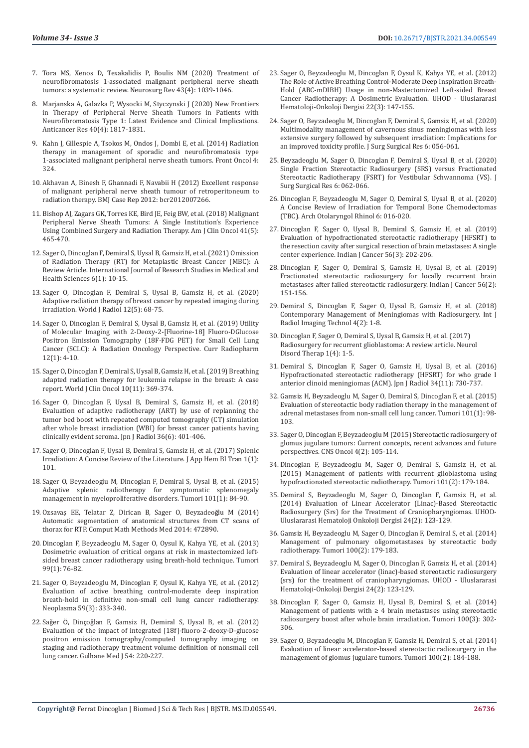- 7. [Tora MS, Xenos D, Texakalidis P, Boulis NM \(2020\) Treatment of](https://pubmed.ncbi.nlm.nih.gov/31209658/)  [neurofibromatosis 1-associated malignant peripheral nerve sheath](https://pubmed.ncbi.nlm.nih.gov/31209658/)  [tumors: a systematic review. Neurosurg Rev 43\(4\): 1039-1046.](https://pubmed.ncbi.nlm.nih.gov/31209658/)
- 8. [Marjanska A, Galazka P, Wysocki M, Styczynski J \(2020\) New Frontiers](https://ar.iiarjournals.org/content/40/4/1817/tab-article-info)  [in Therapy of Peripheral Nerve Sheath Tumors in Patients with](https://ar.iiarjournals.org/content/40/4/1817/tab-article-info)  [Neurofibromatosis Type 1: Latest Evidence and Clinical Implications.](https://ar.iiarjournals.org/content/40/4/1817/tab-article-info)  [Anticancer Res 40\(4\): 1817-1831.](https://ar.iiarjournals.org/content/40/4/1817/tab-article-info)
- 9. [Kahn J, Gillespie A, Tsokos M, Ondos J, Dombi E, et al. \(2014\) Radiation](https://www.ncbi.nlm.nih.gov/pmc/articles/PMC4233912/)  [therapy in management of sporadic and neurofibromatosis type](https://www.ncbi.nlm.nih.gov/pmc/articles/PMC4233912/)  [1-associated malignant peripheral nerve sheath tumors. Front Oncol 4:](https://www.ncbi.nlm.nih.gov/pmc/articles/PMC4233912/)  [324.](https://www.ncbi.nlm.nih.gov/pmc/articles/PMC4233912/)
- 10. [Akhavan A, Binesh F, Ghannadi F, Navabii H \(2012\) Excellent response](https://www.ncbi.nlm.nih.gov/pmc/articles/PMC4544891/)  [of malignant peripheral nerve sheath tumour of retroperitoneum to](https://www.ncbi.nlm.nih.gov/pmc/articles/PMC4544891/)  [radiation therapy. BMJ Case Rep 2012: bcr2012007266.](https://www.ncbi.nlm.nih.gov/pmc/articles/PMC4544891/)
- 11. [Bishop AJ, Zagars GK, Torres KE, Bird JE, Feig BW, et al. \(2018\) Malignant](https://pubmed.ncbi.nlm.nih.gov/27281262/)  [Peripheral Nerve Sheath Tumors: A Single Institution's Experience](https://pubmed.ncbi.nlm.nih.gov/27281262/)  [Using Combined Surgery and Radiation Therapy. Am J Clin Oncol 41\(5\):](https://pubmed.ncbi.nlm.nih.gov/27281262/)  [465-470.](https://pubmed.ncbi.nlm.nih.gov/27281262/)
- 12. [Sager O, Dincoglan F, Demiral S, Uysal B, Gamsiz H, et al. \(2021\) Omission](http://www.ijrsmhs.com/pdf/v6-i1/2.pdf)  [of Radiation Therapy \(RT\) for Metaplastic Breast Cancer \(MBC\): A](http://www.ijrsmhs.com/pdf/v6-i1/2.pdf)  [Review Article. International Journal of Research Studies in Medical and](http://www.ijrsmhs.com/pdf/v6-i1/2.pdf)  [Health Sciences 6\(1\): 10-15.](http://www.ijrsmhs.com/pdf/v6-i1/2.pdf)
- 13. [Sager O, Dincoglan F, Demiral S, Uysal B, Gamsiz H, et al. \(2020\)](https://www.ncbi.nlm.nih.gov/pmc/articles/PMC7288774/)  [Adaptive radiation therapy of breast cancer by repeated imaging during](https://www.ncbi.nlm.nih.gov/pmc/articles/PMC7288774/)  [irradiation. World J Radiol 12\(5\): 68-75.](https://www.ncbi.nlm.nih.gov/pmc/articles/PMC7288774/)
- 14. [Sager O, Dincoglan F, Demiral S, Uysal B, Gamsiz H, et al. \(2019\) Utility](https://pubmed.ncbi.nlm.nih.gov/30465520/)  [of Molecular Imaging with 2-Deoxy-2-\[Fluorine-18\] Fluoro-DGlucose](https://pubmed.ncbi.nlm.nih.gov/30465520/)  [Positron Emission Tomography \(18F-FDG PET\) for Small Cell Lung](https://pubmed.ncbi.nlm.nih.gov/30465520/)  [Cancer \(SCLC\): A Radiation Oncology Perspective. Curr Radiopharm](https://pubmed.ncbi.nlm.nih.gov/30465520/)  [12\(1\): 4-10.](https://pubmed.ncbi.nlm.nih.gov/30465520/)
- 15. [Sager O, Dincoglan F, Demiral S, Uysal B, Gamsiz H, et al. \(2019\) Breathing](https://pubmed.ncbi.nlm.nih.gov/31815096/)  [adapted radiation therapy for leukemia relapse in the breast: A case](https://pubmed.ncbi.nlm.nih.gov/31815096/)  [report. World J Clin Oncol 10\(11\): 369-374.](https://pubmed.ncbi.nlm.nih.gov/31815096/)
- 16. [Sager O, Dincoglan F, Uysal B, Demiral S, Gamsiz H, et al. \(2018\)](https://europepmc.org/article/med/29623550)  [Evaluation of adaptive radiotherapy \(ART\) by use of replanning the](https://europepmc.org/article/med/29623550)  [tumor bed boost with repeated computed tomography \(CT\) simulation](https://europepmc.org/article/med/29623550)  [after whole breast irradiation \(WBI\) for breast cancer patients having](https://europepmc.org/article/med/29623550)  [clinically evident seroma. Jpn J Radiol 36\(6\): 401-406.](https://europepmc.org/article/med/29623550)
- 17. [Sager O, Dincoglan F, Uysal B, Demiral S, Gamsiz H, et al. \(2017\) Splenic](https://elynspublishing.com/journal/article/splenic-irradiation-a-concise-review-of-the-literature)  [Irradiation: A Concise Review of the Literature. J App Hem Bl Tran 1\(1\):](https://elynspublishing.com/journal/article/splenic-irradiation-a-concise-review-of-the-literature)  [101.](https://elynspublishing.com/journal/article/splenic-irradiation-a-concise-review-of-the-literature)
- 18. [Sager O, Beyzadeoglu M, Dincoglan F, Demiral S, Uysal B, et al. \(2015\)](https://pubmed.ncbi.nlm.nih.gov/25702680/)  [Adaptive splenic radiotherapy for symptomatic splenomegaly](https://pubmed.ncbi.nlm.nih.gov/25702680/)  [management in myeloproliferative disorders. Tumori 101\(1\): 84-90.](https://pubmed.ncbi.nlm.nih.gov/25702680/)
- 19. [Ozsavaş EE, Telatar Z, Dirican B, Sager O, Beyzadeo](https://pubmed.ncbi.nlm.nih.gov/25587349/)ğlu M (2014) [Automatic segmentation of anatomical structures from CT scans of](https://pubmed.ncbi.nlm.nih.gov/25587349/)  [thorax for RTP. Comput Math Methods Med 2014: 472890.](https://pubmed.ncbi.nlm.nih.gov/25587349/)
- 20. [Dincoglan F, Beyzadeoglu M, Sager O, Oysul K, Kahya YE, et al. \(2013\)](https://journals.sagepub.com/doi/abs/10.1177/030089161309900113)  [Dosimetric evaluation of critical organs at risk in mastectomized left](https://journals.sagepub.com/doi/abs/10.1177/030089161309900113)[sided breast cancer radiotherapy using breath-hold technique. Tumori](https://journals.sagepub.com/doi/abs/10.1177/030089161309900113)  [99\(1\): 76-82.](https://journals.sagepub.com/doi/abs/10.1177/030089161309900113)
- 21. [Sager O, Beyzadeoglu M, Dincoglan F, Oysul K, Kahya YE, et al. \(2012\)](https://pubmed.ncbi.nlm.nih.gov/22296503/)  [Evaluation of active breathing control-moderate deep inspiration](https://pubmed.ncbi.nlm.nih.gov/22296503/)  [breath-hold in definitive non-small cell lung cancer radiotherapy.](https://pubmed.ncbi.nlm.nih.gov/22296503/)  [Neoplasma 59\(3\): 333-340.](https://pubmed.ncbi.nlm.nih.gov/22296503/)
- 22. Saǧer Ö, Dinçoǧ[lan F, Gamsiz H, Demiral S, Uysal B, et al. \(2012\)](http://cms.galenos.com.tr/Uploads/Article_33333/GMJ-54-220-En.pdf)  [Evaluation of the impact of integrated \[18f\]-fluoro-2-deoxy-D-glucose](http://cms.galenos.com.tr/Uploads/Article_33333/GMJ-54-220-En.pdf)  [positron emission tomography/computed tomography imaging on](http://cms.galenos.com.tr/Uploads/Article_33333/GMJ-54-220-En.pdf)  [staging and radiotherapy treatment volume definition of nonsmall cell](http://cms.galenos.com.tr/Uploads/Article_33333/GMJ-54-220-En.pdf)  [lung cancer. Gulhane Med J 54: 220-227.](http://cms.galenos.com.tr/Uploads/Article_33333/GMJ-54-220-En.pdf)
- 23. [Sager O, Beyzadeoglu M, Dincoglan F, Oysul K, Kahya YE, et al. \(2012\)](https://www.researchgate.net/publication/271205076_The_Role_of_Active_Breathing_Control-Moderate_Deep_Inspiration_Breath-Hold_ABC-mDIBH_Usage_in_non-Mastectomized_Left-sided_Breast_Cancer_Radiotherapy_A_Dosimetric_Evaluation) [The Role of Active Breathing Control-Moderate Deep Inspiration Breath-](https://www.researchgate.net/publication/271205076_The_Role_of_Active_Breathing_Control-Moderate_Deep_Inspiration_Breath-Hold_ABC-mDIBH_Usage_in_non-Mastectomized_Left-sided_Breast_Cancer_Radiotherapy_A_Dosimetric_Evaluation)[Hold \(ABC-mDIBH\) Usage in non-Mastectomized Left-sided Breast](https://www.researchgate.net/publication/271205076_The_Role_of_Active_Breathing_Control-Moderate_Deep_Inspiration_Breath-Hold_ABC-mDIBH_Usage_in_non-Mastectomized_Left-sided_Breast_Cancer_Radiotherapy_A_Dosimetric_Evaluation) [Cancer Radiotherapy: A Dosimetric Evaluation. UHOD - Uluslararasi](https://www.researchgate.net/publication/271205076_The_Role_of_Active_Breathing_Control-Moderate_Deep_Inspiration_Breath-Hold_ABC-mDIBH_Usage_in_non-Mastectomized_Left-sided_Breast_Cancer_Radiotherapy_A_Dosimetric_Evaluation) [Hematoloji-Onkoloji Dergisi 22\(3\): 147-155.](https://www.researchgate.net/publication/271205076_The_Role_of_Active_Breathing_Control-Moderate_Deep_Inspiration_Breath-Hold_ABC-mDIBH_Usage_in_non-Mastectomized_Left-sided_Breast_Cancer_Radiotherapy_A_Dosimetric_Evaluation)
- 24. [Sager O, Beyzadeoglu M, Dincoglan F, Demiral S, Gamsiz H, et al. \(2020\)](https://www.peertechzpublications.com/articles/JSSR-6-198.php) [Multimodality management of cavernous sinus meningiomas with less](https://www.peertechzpublications.com/articles/JSSR-6-198.php) [extensive surgery followed by subsequent irradiation: Implications for](https://www.peertechzpublications.com/articles/JSSR-6-198.php) [an improved toxicity profile. J Surg Surgical Res 6: 056-061.](https://www.peertechzpublications.com/articles/JSSR-6-198.php)
- 25. [Beyzadeoglu M, Sager O, Dincoglan F, Demiral S, Uysal B, et al. \(2020\)](https://www.peertechzpublications.com/articles/JSSR-6-199.php) [Single Fraction Stereotactic Radiosurgery \(SRS\) versus Fractionated](https://www.peertechzpublications.com/articles/JSSR-6-199.php) [Stereotactic Radiotherapy \(FSRT\) for Vestibular Schwannoma \(VS\). J](https://www.peertechzpublications.com/articles/JSSR-6-199.php) [Surg Surgical Res 6: 062-066.](https://www.peertechzpublications.com/articles/JSSR-6-199.php)
- 26. [Dincoglan F, Beyzadeoglu M, Sager O, Demiral S, Uysal B, et al. \(2020\)](https://www.peertechzpublications.com/articles/AOR-6-215.php) [A Concise Review of Irradiation for Temporal Bone Chemodectomas](https://www.peertechzpublications.com/articles/AOR-6-215.php) [\(TBC\). Arch Otolaryngol Rhinol 6: 016-020.](https://www.peertechzpublications.com/articles/AOR-6-215.php)
- 27. [Dincoglan F, Sager O, Uysal B, Demiral S, Gamsiz H, et al. \(2019\)](https://pubmed.ncbi.nlm.nih.gov/31389381/) [Evaluation of hypofractionated stereotactic radiotherapy \(HFSRT\) to](https://pubmed.ncbi.nlm.nih.gov/31389381/) [the resection cavity after surgical resection of brain metastases: A single](https://pubmed.ncbi.nlm.nih.gov/31389381/) [center experience. Indian J Cancer 56\(3\): 202-206.](https://pubmed.ncbi.nlm.nih.gov/31389381/)
- 28. [Dincoglan F, Sager O, Demiral S, Gamsiz H, Uysal B, et al. \(2019\)](https://pubmed.ncbi.nlm.nih.gov/31062735/) [Fractionated stereotactic radiosurgery for locally recurrent brain](https://pubmed.ncbi.nlm.nih.gov/31062735/) [metastases after failed stereotactic radiosurgery. Indian J Cancer 56\(2\):](https://pubmed.ncbi.nlm.nih.gov/31062735/) [151-156.](https://pubmed.ncbi.nlm.nih.gov/31062735/)
- 29. [Demiral S, Dincoglan F, Sager O, Uysal B, Gamsiz H, et al. \(2018\)](https://pdfs.semanticscholar.org/1da4/6f62a3049e6bbd894784f5ed1a1aebb2af78.pdf) [Contemporary Management of Meningiomas with Radiosurgery. Int J](https://pdfs.semanticscholar.org/1da4/6f62a3049e6bbd894784f5ed1a1aebb2af78.pdf) [Radiol Imaging Technol 4\(2\): 1-8.](https://pdfs.semanticscholar.org/1da4/6f62a3049e6bbd894784f5ed1a1aebb2af78.pdf)
- 30. [Dincoglan F, Sager O, Demiral S, Uysal B, Gamsiz H, et al. \(2017\)](https://www.oatext.com/pdf/NDT-1-119.pdf)  [Radiosurgery for recurrent glioblastoma: A review article. Neurol](https://www.oatext.com/pdf/NDT-1-119.pdf)  [Disord Therap 1\(4\): 1-5.](https://www.oatext.com/pdf/NDT-1-119.pdf)
- 31. [Demiral S, Dincoglan F, Sager O, Gamsiz H, Uysal B, et al. \(2016\)](https://europepmc.org/article/med/27659448) [Hypofractionated stereotactic radiotherapy \(HFSRT\) for who grade I](https://europepmc.org/article/med/27659448) [anterior clinoid meningiomas \(ACM\). Jpn J Radiol 34\(11\): 730-737.](https://europepmc.org/article/med/27659448)
- 32. [Gamsiz H, Beyzadeoglu M, Sager O, Demiral S, Dincoglan F, et al. \(2015\)](https://pubmed.ncbi.nlm.nih.gov/25702673/) [Evaluation of stereotactic body radiation therapy in the management of](https://pubmed.ncbi.nlm.nih.gov/25702673/) [adrenal metastases from non-small cell lung cancer. Tumori 101\(1\): 98-](https://pubmed.ncbi.nlm.nih.gov/25702673/) [103.](https://pubmed.ncbi.nlm.nih.gov/25702673/)
- 33. [Sager O, Dincoglan F, Beyzadeoglu M \(2015\) Stereotactic radiosurgery of](https://pubmed.ncbi.nlm.nih.gov/25768334/) [glomus jugulare tumors: Current concepts, recent advances and future](https://pubmed.ncbi.nlm.nih.gov/25768334/) [perspectives. CNS Oncol 4\(2\): 105-114.](https://pubmed.ncbi.nlm.nih.gov/25768334/)
- 34. [Dincoglan F, Beyzadeoglu M, Sager O, Demiral S, Gamsiz H, et al.](https://pubmed.ncbi.nlm.nih.gov/25791534/) [\(2015\) Management of patients with recurrent glioblastoma using](https://pubmed.ncbi.nlm.nih.gov/25791534/) [hypofractionated stereotactic radiotherapy. Tumori 101\(2\): 179-184.](https://pubmed.ncbi.nlm.nih.gov/25791534/)
- 35. [Demiral S, Beyzadeoglu M, Sager O, Dincoglan F, Gamsiz H, et al.](https://www.researchgate.net/publication/278083491_Evaluation_of_Linear_Accelerator_Linac-Based_Stereotactic_Radiosurgery_Srs_for_The_Treatment_of_Craniopharyngiomas) [\(2014\) Evaluation of Linear Accelerator \(Linac\)-Based Stereotactic](https://www.researchgate.net/publication/278083491_Evaluation_of_Linear_Accelerator_Linac-Based_Stereotactic_Radiosurgery_Srs_for_The_Treatment_of_Craniopharyngiomas) [Radiosurgery \(Srs\) for the Treatment of Craniopharyngiomas. UHOD-](https://www.researchgate.net/publication/278083491_Evaluation_of_Linear_Accelerator_Linac-Based_Stereotactic_Radiosurgery_Srs_for_The_Treatment_of_Craniopharyngiomas)[Uluslararasi Hematoloji Onkoloji Dergisi 24\(2\): 123-129.](https://www.researchgate.net/publication/278083491_Evaluation_of_Linear_Accelerator_Linac-Based_Stereotactic_Radiosurgery_Srs_for_The_Treatment_of_Craniopharyngiomas)
- 36. [Gamsiz H, Beyzadeoglu M, Sager O, Dincoglan F, Demiral S, et al. \(2014\)](https://www.researchgate.net/publication/323420845_Management_of_Pulmonary_Oligometastases_by_Stereotactic_Body_Radiotherapy) [Management of pulmonary oligometastases by stereotactic body](https://www.researchgate.net/publication/323420845_Management_of_Pulmonary_Oligometastases_by_Stereotactic_Body_Radiotherapy) [radiotherapy. Tumori 100\(2\): 179-183.](https://www.researchgate.net/publication/323420845_Management_of_Pulmonary_Oligometastases_by_Stereotactic_Body_Radiotherapy)
- 37. [Demiral S, Beyzadeoglu M, Sager O, Dincoglan F, Gamsiz H, et al. \(2014\)](https://www.researchgate.net/publication/278083491_Evaluation_of_Linear_Accelerator_Linac-Based_Stereotactic_Radiosurgery_Srs_for_The_Treatment_of_Craniopharyngiomas) [Evaluation of linear accelerator \(linac\)-based stereotactic radiosurgery](https://www.researchgate.net/publication/278083491_Evaluation_of_Linear_Accelerator_Linac-Based_Stereotactic_Radiosurgery_Srs_for_The_Treatment_of_Craniopharyngiomas) [\(srs\) for the treatment of craniopharyngiomas. UHOD - Uluslararasi](https://www.researchgate.net/publication/278083491_Evaluation_of_Linear_Accelerator_Linac-Based_Stereotactic_Radiosurgery_Srs_for_The_Treatment_of_Craniopharyngiomas) [Hematoloji-Onkoloji Dergisi 24\(2\): 123-129.](https://www.researchgate.net/publication/278083491_Evaluation_of_Linear_Accelerator_Linac-Based_Stereotactic_Radiosurgery_Srs_for_The_Treatment_of_Craniopharyngiomas)
- 38. [Dincoglan F, Sager O, Gamsiz H, Uysal B, Demiral S, et al. \(2014\)](https://journals.sagepub.com/doi/abs/10.1700/1578.17210) Management of patients with  $\geq 4$  brain metastases using stereotactic [radiosurgery boost after whole brain irradiation. Tumori 100\(3\): 302-](https://journals.sagepub.com/doi/abs/10.1700/1578.17210) [306.](https://journals.sagepub.com/doi/abs/10.1700/1578.17210)
- 39. [Sager O, Beyzadeoglu M, Dincoglan F, Gamsiz H, Demiral S, et al. \(2014\)](https://pubmed.ncbi.nlm.nih.gov/24852863/) [Evaluation of linear accelerator-based stereotactic radiosurgery in the](https://pubmed.ncbi.nlm.nih.gov/24852863/) [management of glomus jugulare tumors. Tumori 100\(2\): 184-188.](https://pubmed.ncbi.nlm.nih.gov/24852863/)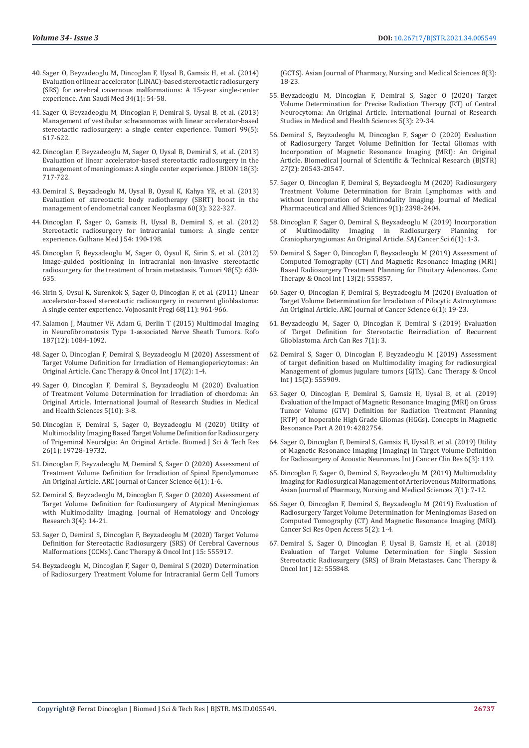- 40. [Sager O, Beyzadeoglu M, Dincoglan F, Uysal B, Gamsiz H, et al. \(2014\)](https://www.ncbi.nlm.nih.gov/pmc/articles/PMC6074929/)  [Evaluation of linear accelerator \(LINAC\)-based stereotactic radiosurgery](https://www.ncbi.nlm.nih.gov/pmc/articles/PMC6074929/)  [\(SRS\) for cerebral cavernous malformations: A 15-year single-center](https://www.ncbi.nlm.nih.gov/pmc/articles/PMC6074929/)  [experience. Ann Saudi Med 34\(1\): 54-58.](https://www.ncbi.nlm.nih.gov/pmc/articles/PMC6074929/)
- 41. [Sager O, Beyzadeoglu M, Dincoglan F, Demiral S, Uysal B, et al. \(2013\)](https://pubmed.ncbi.nlm.nih.gov/24362867/)  [Management of vestibular schwannomas with linear accelerator-based](https://pubmed.ncbi.nlm.nih.gov/24362867/)  [stereotactic radiosurgery: a single center experience. Tumori 99\(5\):](https://pubmed.ncbi.nlm.nih.gov/24362867/)  [617-622.](https://pubmed.ncbi.nlm.nih.gov/24362867/)
- 42. [Dincoglan F, Beyzadeoglu M, Sager O, Uysal B, Demiral S, et al. \(2013\)](https://pubmed.ncbi.nlm.nih.gov/24065489/)  [Evaluation of linear accelerator-based stereotactic radiosurgery in the](https://pubmed.ncbi.nlm.nih.gov/24065489/)  [management of meningiomas: A single center experience. J BUON 18\(3\):](https://pubmed.ncbi.nlm.nih.gov/24065489/)  [717-722.](https://pubmed.ncbi.nlm.nih.gov/24065489/)
- 43. [Demiral S, Beyzadeoglu M, Uysal B, Oysul K, Kahya YE, et al. \(2013\)](https://pubmed.ncbi.nlm.nih.gov/23374003/)  [Evaluation of stereotactic body radiotherapy \(SBRT\) boost in the](https://pubmed.ncbi.nlm.nih.gov/23374003/)  [management of endometrial cancer. Neoplasma 60\(3\): 322-327.](https://pubmed.ncbi.nlm.nih.gov/23374003/)
- 44. [Dincoglan F, Sager O, Gamsiz H, Uysal B, Demiral S, et al. \(2012\)](http://cms.galenos.com.tr/Uploads/Article_33319/GMJ-54-190-En.pdf)  [Stereotactic radiosurgery for intracranial tumors: A single center](http://cms.galenos.com.tr/Uploads/Article_33319/GMJ-54-190-En.pdf)  [experience. Gulhane Med J 54: 190-198.](http://cms.galenos.com.tr/Uploads/Article_33319/GMJ-54-190-En.pdf)
- 45. [Dincoglan F, Beyzadeoglu M, Sager O, Oysul K, Sirin S, et al. \(2012\)](https://journals.sagepub.com/doi/10.1177/030089161209800514)  [Image-guided positioning in intracranial non-invasive stereotactic](https://journals.sagepub.com/doi/10.1177/030089161209800514)  [radiosurgery for the treatment of brain metastasis. Tumori 98\(5\): 630-](https://journals.sagepub.com/doi/10.1177/030089161209800514) [635.](https://journals.sagepub.com/doi/10.1177/030089161209800514)
- 46. [Sirin S, Oysul K, Surenkok S, Sager O, Dincoglan F, et al. \(2011\) Linear](https://pubmed.ncbi.nlm.nih.gov/22191314/)  [accelerator-based stereotactic radiosurgery in recurrent glioblastoma:](https://pubmed.ncbi.nlm.nih.gov/22191314/)  [A single center experience. Vojnosanit Pregl 68\(11\): 961-966.](https://pubmed.ncbi.nlm.nih.gov/22191314/)
- 47. [Salamon J, Mautner VF, Adam G, Derlin T \(2015\) Multimodal Imaging](https://pubmed.ncbi.nlm.nih.gov/26333104/)  [in Neurofibromatosis Type 1-associated Nerve Sheath Tumors. Rofo](https://pubmed.ncbi.nlm.nih.gov/26333104/)  [187\(12\): 1084-1092.](https://pubmed.ncbi.nlm.nih.gov/26333104/)
- 48. [Sager O, Dincoglan F, Demiral S, Beyzadeoglu M \(2020\) Assessment of](https://juniperpublishers.com/ctoij/pdf/CTOIJ.MS.ID.555959.pdf)  [Target Volume Definition for Irradiation of Hemangiopericytomas: An](https://juniperpublishers.com/ctoij/pdf/CTOIJ.MS.ID.555959.pdf)  [Original Article. Canc Therapy & Oncol Int J 17\(2\): 1-4.](https://juniperpublishers.com/ctoij/pdf/CTOIJ.MS.ID.555959.pdf)
- 49. [Sager O, Dincoglan F, Demiral S, Beyzadeoglu M \(2020\) Evaluation](http://www.ijrsmhs.com/pdf/v5-i10/2.pdf)  [of Treatment Volume Determination for Irradiation of chordoma: An](http://www.ijrsmhs.com/pdf/v5-i10/2.pdf)  [Original Article. International Journal of Research Studies in Medical](http://www.ijrsmhs.com/pdf/v5-i10/2.pdf)  [and Health Sciences 5\(10\): 3-8.](http://www.ijrsmhs.com/pdf/v5-i10/2.pdf)
- 50. [Dincoglan F, Demiral S, Sager O, Beyzadeoglu M \(2020\) Utility of](https://biomedres.us/fulltexts/BJSTR.MS.ID.004311.php)  [Multimodality Imaging Based Target Volume Definition for Radiosurgery](https://biomedres.us/fulltexts/BJSTR.MS.ID.004311.php)  [of Trigeminal Neuralgia: An Original Article. Biomed J Sci & Tech Res](https://biomedres.us/fulltexts/BJSTR.MS.ID.004311.php)  [26\(1\): 19728-19732.](https://biomedres.us/fulltexts/BJSTR.MS.ID.004311.php)
- 51. [Dincoglan F, Beyzadeoglu M, Demiral S, Sager O \(2020\) Assessment of](https://www.arcjournals.org/pdfs/ajcs/v6-i1/1.pdf)  [Treatment Volume Definition for Irradiation of Spinal Ependymomas:](https://www.arcjournals.org/pdfs/ajcs/v6-i1/1.pdf)  [An Original Article. ARC Journal of Cancer Science 6\(1\): 1-6.](https://www.arcjournals.org/pdfs/ajcs/v6-i1/1.pdf)
- 52. [Demiral S, Beyzadeoglu M, Dincoglan F, Sager O \(2020\) Assessment of](https://openaccesspub.org/jhor/article/1323)  [Target Volume Definition for Radiosurgery of Atypical Meningiomas](https://openaccesspub.org/jhor/article/1323)  [with Multimodality Imaging. Journal of Hematology and Oncology](https://openaccesspub.org/jhor/article/1323)  [Research 3\(4\): 14-21.](https://openaccesspub.org/jhor/article/1323)
- 53. [Sager O, Demiral S, Dincoglan F, Beyzadeoglu M \(2020\) Target Volume](https://juniperpublishers.com/ctoij/CTOIJ.MS.ID.555917.php)  [Definition for Stereotactic Radiosurgery \(SRS\) Of Cerebral Cavernous](https://juniperpublishers.com/ctoij/CTOIJ.MS.ID.555917.php)  [Malformations \(CCMs\). Canc Therapy & Oncol Int J 15: 555917.](https://juniperpublishers.com/ctoij/CTOIJ.MS.ID.555917.php)
- 54. [Beyzadeoglu M, Dincoglan F, Sager O, Demiral S \(2020\) Determination](https://www.researchgate.net/publication/342594295_Determination_of_Radiosurgery_Treatment_Volume_for_Intracranial_Germ_Cell_Tumors_GCTS)  [of Radiosurgery Treatment Volume for Intracranial Germ Cell Tumors](https://www.researchgate.net/publication/342594295_Determination_of_Radiosurgery_Treatment_Volume_for_Intracranial_Germ_Cell_Tumors_GCTS)

[\(GCTS\). Asian Journal of Pharmacy, Nursing and Medical Sciences 8\(3\):](https://www.researchgate.net/publication/342594295_Determination_of_Radiosurgery_Treatment_Volume_for_Intracranial_Germ_Cell_Tumors_GCTS) [18-23.](https://www.researchgate.net/publication/342594295_Determination_of_Radiosurgery_Treatment_Volume_for_Intracranial_Germ_Cell_Tumors_GCTS)

- 55. [Beyzadeoglu M, Dincoglan F, Demiral S, Sager O \(2020\) Target](http://www.ijrsmhs.com/pdf/v5-i3/5.pdf) [Volume Determination for Precise Radiation Therapy \(RT\) of Central](http://www.ijrsmhs.com/pdf/v5-i3/5.pdf) [Neurocytoma: An Original Article. International Journal of Research](http://www.ijrsmhs.com/pdf/v5-i3/5.pdf) [Studies in Medical and Health Sciences 5\(3\): 29-34.](http://www.ijrsmhs.com/pdf/v5-i3/5.pdf)
- 56. [Demiral S, Beyzadeoglu M, Dincoglan F, Sager O \(2020\) Evaluation](https://biomedres.us/fulltexts/BJSTR.MS.ID.004461.php) [of Radiosurgery Target Volume Definition for Tectal Gliomas with](https://biomedres.us/fulltexts/BJSTR.MS.ID.004461.php) [Incorporation of Magnetic Resonance Imaging \(MRI\): An Original](https://biomedres.us/fulltexts/BJSTR.MS.ID.004461.php) Article. Biomedical Journal of Scientific & Technical Research (BISTR) [27\(2\): 20543-20547.](https://biomedres.us/fulltexts/BJSTR.MS.ID.004461.php)
- 57. [Sager O, Dincoglan F, Demiral S, Beyzadeoglu M \(2020\) Radiosurgery](https://jmpas.com/admin/assets/article_issue/1588008403JMPAS_MARCH_-APRIL_2020.pdf) [Treatment Volume Determination for Brain Lymphomas with and](https://jmpas.com/admin/assets/article_issue/1588008403JMPAS_MARCH_-APRIL_2020.pdf) [without Incorporation of Multimodality Imaging. Journal of Medical](https://jmpas.com/admin/assets/article_issue/1588008403JMPAS_MARCH_-APRIL_2020.pdf) [Pharmaceutical and Allied Sciences 9\(1\): 2398-2404.](https://jmpas.com/admin/assets/article_issue/1588008403JMPAS_MARCH_-APRIL_2020.pdf)
- 58. [Dincoglan F, Sager O, Demiral S, Beyzadeoglu M \(2019\) Incorporation](http://article.scholarena.com/Incorporation-of-Multimodality-Imaging-in-Radiosurgery-Planning-for-Craniopharyngiomas-An-Original-Article.pdf)<br>of Multimodality Imaging in Radiosurgery Planning for of Multimodality Imaging in Radiosurgery Planning [Craniopharyngiomas: An Original Article. SAJ Cancer Sci 6\(1\): 1-3.](http://article.scholarena.com/Incorporation-of-Multimodality-Imaging-in-Radiosurgery-Planning-for-Craniopharyngiomas-An-Original-Article.pdf)
- 59. [Demiral S, Sager O, Dincoglan F, Beyzadeoglu M \(2019\) Assessment of](https://juniperpublishers.com/ctoij/pdf/CTOIJ.MS.ID.555857.pdf) [Computed Tomography \(CT\) And Magnetic Resonance Imaging \(MRI\)](https://juniperpublishers.com/ctoij/pdf/CTOIJ.MS.ID.555857.pdf) [Based Radiosurgery Treatment Planning for Pituitary Adenomas. Canc](https://juniperpublishers.com/ctoij/pdf/CTOIJ.MS.ID.555857.pdf) [Therapy & Oncol Int J 13\(2\): 555857.](https://juniperpublishers.com/ctoij/pdf/CTOIJ.MS.ID.555857.pdf)
- 60. [Sager O, Dincoglan F, Demiral S, Beyzadeoglu M \(2020\) Evaluation of](https://www.arcjournals.org/pdfs/ajcs/v6-i1/3.pdf) [Target Volume Determination for Irradiatıon of Pilocytic Astrocytomas:](https://www.arcjournals.org/pdfs/ajcs/v6-i1/3.pdf) [An Original Article. ARC Journal of Cancer Science 6\(1\): 19-23.](https://www.arcjournals.org/pdfs/ajcs/v6-i1/3.pdf)
- 61. [Beyzadeoglu M, Sager O, Dincoglan F, Demiral S \(2019\) Evaluation](https://www.acanceresearch.com/cancer-research/evaluation-of-target-definition-for-stereotactic-reirradiation-of-recurrent-glioblastoma.php?aid=24150) [of Target Definition for Stereotactic Reirradiation of Recurrent](https://www.acanceresearch.com/cancer-research/evaluation-of-target-definition-for-stereotactic-reirradiation-of-recurrent-glioblastoma.php?aid=24150) [Glioblastoma. Arch Can Res 7\(1\): 3.](https://www.acanceresearch.com/cancer-research/evaluation-of-target-definition-for-stereotactic-reirradiation-of-recurrent-glioblastoma.php?aid=24150)
- 62. [Demiral S, Sager O, Dincoglan F, Beyzadeoglu M \(2019\) Assessment](https://juniperpublishers.com/ctoij/CTOIJ.MS.ID.555909.php) [of target definition based on Multimodality imaging for radiosurgical](https://juniperpublishers.com/ctoij/CTOIJ.MS.ID.555909.php) [Management of glomus jugulare tumors \(GJTs\). Canc Therapy & Oncol](https://juniperpublishers.com/ctoij/CTOIJ.MS.ID.555909.php) [Int J 15\(2\): 555909.](https://juniperpublishers.com/ctoij/CTOIJ.MS.ID.555909.php)
- 63. [Sager O, Dincoglan F, Demiral S, Gamsiz H, Uysal B, et al. \(2019\)](https://www.hindawi.com/journals/cmra/2019/4282754/) [Evaluation of the Impact of Magnetic Resonance Imaging \(MRI\) on Gross](https://www.hindawi.com/journals/cmra/2019/4282754/) [Tumor Volume \(GTV\) Definition for Radiation Treatment Planning](https://www.hindawi.com/journals/cmra/2019/4282754/) [\(RTP\) of Inoperable High Grade Gliomas \(HGGs\). Concepts in Magnetic](https://www.hindawi.com/journals/cmra/2019/4282754/) [Resonance Part A 2019: 4282754.](https://www.hindawi.com/journals/cmra/2019/4282754/)
- 64. [Sager O, Dincoglan F, Demiral S, Gamsiz H, Uysal B, et al. \(2019\) Utility](https://clinmedjournals.org/articles/ijccr/international-journal-of-cancer-and-clinical-research-ijccr-6-119.php?jid=ijccr) [of Magnetic Resonance Imaging \(Imaging\) in Target Volume Definition](https://clinmedjournals.org/articles/ijccr/international-journal-of-cancer-and-clinical-research-ijccr-6-119.php?jid=ijccr) [for Radiosurgery of Acoustic Neuromas. Int J Cancer Clin Res 6\(3\): 119.](https://clinmedjournals.org/articles/ijccr/international-journal-of-cancer-and-clinical-research-ijccr-6-119.php?jid=ijccr)
- 65. [Dincoglan F, Sager O, Demiral S, Beyzadeoglu M \(2019\) Multimodality](https://www.ajouronline.com/index.php/AJPNMS/article/view/5661) [Imaging for Radiosurgical Management of Arteriovenous Malformations.](https://www.ajouronline.com/index.php/AJPNMS/article/view/5661) [Asian Journal of Pharmacy, Nursing and Medical Sciences 7\(1\): 7-12.](https://www.ajouronline.com/index.php/AJPNMS/article/view/5661)
- 66. [Sager O, Dincoglan F, Demiral S, Beyzadeoglu M \(2019\) Evaluation of](https://pdfs.semanticscholar.org/ac1b/75ccd16c848ea8163c0d0cc9a5112016c6b8.pdf) [Radiosurgery Target Volume Determination for Meningiomas Based on](https://pdfs.semanticscholar.org/ac1b/75ccd16c848ea8163c0d0cc9a5112016c6b8.pdf) [Computed Tomography \(CT\) And Magnetic Resonance Imaging \(MRI\).](https://pdfs.semanticscholar.org/ac1b/75ccd16c848ea8163c0d0cc9a5112016c6b8.pdf) [Cancer Sci Res Open Access 5\(2\): 1-4.](https://pdfs.semanticscholar.org/ac1b/75ccd16c848ea8163c0d0cc9a5112016c6b8.pdf)
- 67. [Demiral S, Sager O, Dincoglan F, Uysal B, Gamsiz H, et al. \(2018\)](https://ideas.repec.org/a/adp/jctoij/v12y2018i5p13-16.html) [Evaluation of Target Volume Determination for Single Session](https://ideas.repec.org/a/adp/jctoij/v12y2018i5p13-16.html) [Stereotactic Radiosurgery \(SRS\) of Brain Metastases. Canc Therapy &](https://ideas.repec.org/a/adp/jctoij/v12y2018i5p13-16.html) [Oncol Int J 12: 555848.](https://ideas.repec.org/a/adp/jctoij/v12y2018i5p13-16.html)